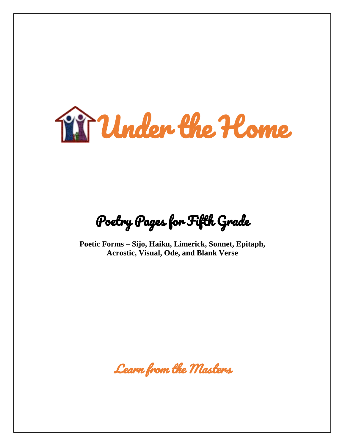

Poetry Pages for Fifth Grade

**Poetic Forms – Sijo, Haiku, Limerick, Sonnet, Epitaph, Acrostic, Visual, Ode, and Blank Verse**

Learn from the Masters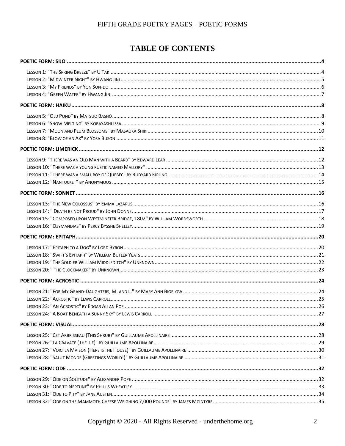# **TABLE OF CONTENTS**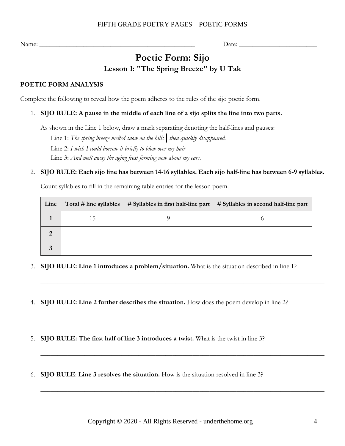# **Poetic Form: Sijo Lesson 1: "The Spring Breeze" by U Tak**

### <span id="page-3-1"></span><span id="page-3-0"></span>**POETIC FORM ANALYSIS**

Complete the following to reveal how the poem adheres to the rules of the sijo poetic form.

### 1. **SIJO RULE: A pause in the middle of each line of a sijo splits the line into two parts.**

As shown in the Line 1 below, draw a mark separating denoting the half-lines and pauses:

Line 1: *The spring breeze melted snow on the hills***|***then quickly disappeared.* Line 2: *I wish I could borrow it briefly to blow over my hair* Line 3: *And melt away the aging frost forming now about my ears.*

### 2. **SIJO RULE: Each sijo line has between 14-16 syllables. Each sijo half-line has between 6-9 syllables.**

Count syllables to fill in the remaining table entries for the lesson poem.

| Line | Total # line syllables | $\#$ Syllables in first half-line part | # Syllables in second half-line part |
|------|------------------------|----------------------------------------|--------------------------------------|
|      |                        |                                        |                                      |
| റ    |                        |                                        |                                      |
|      |                        |                                        |                                      |

\_\_\_\_\_\_\_\_\_\_\_\_\_\_\_\_\_\_\_\_\_\_\_\_\_\_\_\_\_\_\_\_\_\_\_\_\_\_\_\_\_\_\_\_\_\_\_\_\_\_\_\_\_\_\_\_\_\_\_\_\_\_\_\_\_\_\_\_\_\_\_\_\_\_\_\_\_\_\_\_\_\_\_\_

\_\_\_\_\_\_\_\_\_\_\_\_\_\_\_\_\_\_\_\_\_\_\_\_\_\_\_\_\_\_\_\_\_\_\_\_\_\_\_\_\_\_\_\_\_\_\_\_\_\_\_\_\_\_\_\_\_\_\_\_\_\_\_\_\_\_\_\_\_\_\_\_\_\_\_\_\_\_\_\_\_\_\_\_

\_\_\_\_\_\_\_\_\_\_\_\_\_\_\_\_\_\_\_\_\_\_\_\_\_\_\_\_\_\_\_\_\_\_\_\_\_\_\_\_\_\_\_\_\_\_\_\_\_\_\_\_\_\_\_\_\_\_\_\_\_\_\_\_\_\_\_\_\_\_\_\_\_\_\_\_\_\_\_\_\_\_\_\_

\_\_\_\_\_\_\_\_\_\_\_\_\_\_\_\_\_\_\_\_\_\_\_\_\_\_\_\_\_\_\_\_\_\_\_\_\_\_\_\_\_\_\_\_\_\_\_\_\_\_\_\_\_\_\_\_\_\_\_\_\_\_\_\_\_\_\_\_\_\_\_\_\_\_\_\_\_\_\_\_\_\_\_\_

- 3. **SIJO RULE: Line 1 introduces a problem/situation.** What is the situation described in line 1?
- 4. **SIJO RULE: Line 2 further describes the situation.** How does the poem develop in line 2?
- 5. **SIJO RULE: The first half of line 3 introduces a twist.** What is the twist in line 3?
- 6. **SIJO RULE**: **Line 3 resolves the situation.** How is the situation resolved in line 3?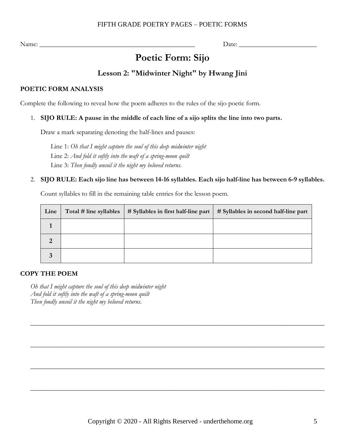Name:  $\Box$ 

# **Poetic Form: Sijo**

### **Lesson 2: "Midwinter Night" by Hwang Jini**

### <span id="page-4-0"></span>**POETIC FORM ANALYSIS**

Complete the following to reveal how the poem adheres to the rules of the sijo poetic form.

### 1. **SIJO RULE: A pause in the middle of each line of a sijo splits the line into two parts.**

Draw a mark separating denoting the half-lines and pauses:

Line 1: *Oh that I might capture the soul of this deep midwinter night* Line 2: *And fold it softly into the waft of a spring-moon quilt* Line 3: *Then fondly uncoil it the night my beloved returns.*

### 2. **SIJO RULE: Each sijo line has between 14-16 syllables. Each sijo half-line has between 6-9 syllables.**

Count syllables to fill in the remaining table entries for the lesson poem.

| Line           | Total # line syllables | # Syllables in first half-line part | # Syllables in second half-line part |
|----------------|------------------------|-------------------------------------|--------------------------------------|
|                |                        |                                     |                                      |
| $\overline{2}$ |                        |                                     |                                      |
| 3              |                        |                                     |                                      |

 $\_$  , and the set of the set of the set of the set of the set of the set of the set of the set of the set of the set of the set of the set of the set of the set of the set of the set of the set of the set of the set of th

 $\_$  , and the set of the set of the set of the set of the set of the set of the set of the set of the set of the set of the set of the set of the set of the set of the set of the set of the set of the set of the set of th

 $\_$  , and the set of the set of the set of the set of the set of the set of the set of the set of the set of the set of the set of the set of the set of the set of the set of the set of the set of the set of the set of th

 $\_$  , and the set of the set of the set of the set of the set of the set of the set of the set of the set of the set of the set of the set of the set of the set of the set of the set of the set of the set of the set of th

### **COPY THE POEM**

*Oh that I might capture the soul of this deep midwinter night And fold it softly into the waft of a spring-moon quilt Then fondly uncoil it the night my beloved returns.*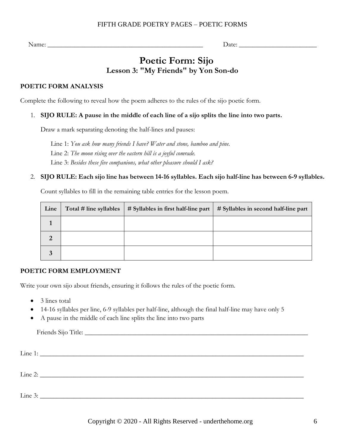Name: \_\_\_\_\_\_\_\_\_\_\_\_\_\_\_\_\_\_\_\_\_\_\_\_\_\_\_\_\_\_\_\_\_\_\_\_\_\_\_\_\_\_\_\_\_\_ Date: \_\_\_\_\_\_\_\_\_\_\_\_\_\_\_\_\_\_\_\_\_\_\_

# **Poetic Form: Sijo Lesson 3: "My Friends" by Yon Son-do**

### <span id="page-5-0"></span>**POETIC FORM ANALYSIS**

Complete the following to reveal how the poem adheres to the rules of the sijo poetic form.

### 1. **SIJO RULE: A pause in the middle of each line of a sijo splits the line into two parts.**

Draw a mark separating denoting the half-lines and pauses:

Line 1: *You ask how many friends I have? Water and stone, bamboo and pine.* Line 2: *The moon rising over the eastern hill is a joyful comrade.* Line 3: *Besides these five companions, what other pleasure should I ask?*

### 2. **SIJO RULE: Each sijo line has between 14-16 syllables. Each sijo half-line has between 6-9 syllables.**

Count syllables to fill in the remaining table entries for the lesson poem.

| Line | Total # line syllables | $\#$ Syllables in first half-line part | # Syllables in second half-line part |
|------|------------------------|----------------------------------------|--------------------------------------|
|      |                        |                                        |                                      |
| 2    |                        |                                        |                                      |
|      |                        |                                        |                                      |

### **POETIC FORM EMPLOYMENT**

Write your own sijo about friends, ensuring it follows the rules of the poetic form.

- 3 lines total
- 14-16 syllables per line, 6-9 syllables per half-line, although the final half-line may have only 5
- A pause in the middle of each line splits the line into two parts

Friends Sijo Title: \_\_\_\_\_\_\_\_\_\_\_\_\_\_\_\_\_\_\_\_\_\_\_\_\_\_\_\_\_\_\_\_\_\_\_\_\_\_\_\_\_\_\_\_\_\_\_\_\_\_\_\_\_\_\_\_\_\_\_\_\_\_\_\_\_\_

| Line 1:   |  |  |  |
|-----------|--|--|--|
| Line 2:   |  |  |  |
|           |  |  |  |
| Line $3:$ |  |  |  |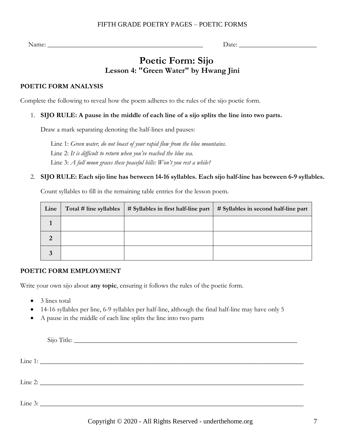Name: \_\_\_\_\_\_\_\_\_\_\_\_\_\_\_\_\_\_\_\_\_\_\_\_\_\_\_\_\_\_\_\_\_\_\_\_\_\_\_\_\_\_\_\_\_\_ Date: \_\_\_\_\_\_\_\_\_\_\_\_\_\_\_\_\_\_\_\_\_\_\_

# **Poetic Form: Sijo Lesson 4: "Green Water" by Hwang Jini**

### <span id="page-6-0"></span>**POETIC FORM ANALYSIS**

Complete the following to reveal how the poem adheres to the rules of the sijo poetic form.

### 1. **SIJO RULE: A pause in the middle of each line of a sijo splits the line into two parts.**

Draw a mark separating denoting the half-lines and pauses:

Line 1: *Green water, do not boast of your rapid flow from the blue mountains.* Line 2: *It is difficult to return when you've reached the blue sea.* Line 3: *A full moon graces these peaceful hills: Won't you rest a while?*

### 2. **SIJO RULE: Each sijo line has between 14-16 syllables. Each sijo half-line has between 6-9 syllables.**

Count syllables to fill in the remaining table entries for the lesson poem.

| Line           | Total # line syllables | $\#$ Syllables in first half-line part | # Syllables in second half-line part |
|----------------|------------------------|----------------------------------------|--------------------------------------|
|                |                        |                                        |                                      |
| $\overline{2}$ |                        |                                        |                                      |
|                |                        |                                        |                                      |

### **POETIC FORM EMPLOYMENT**

Write your own sijo about **any topic**, ensuring it follows the rules of the poetic form.

- 3 lines total
- 14-16 syllables per line, 6-9 syllables per half-line, although the final half-line may have only 5
- A pause in the middle of each line splits the line into two parts

| Line 3: $\overline{\phantom{a}}$ |  |
|----------------------------------|--|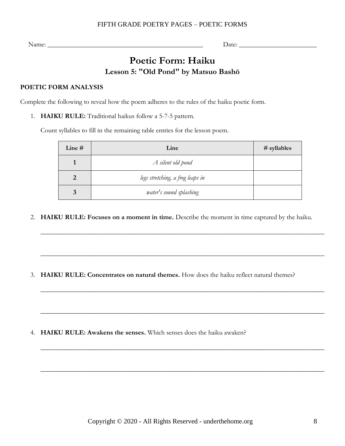<span id="page-7-0"></span>Name: \_\_\_\_\_\_\_\_\_\_\_\_\_\_\_\_\_\_\_\_\_\_\_\_\_\_\_\_\_\_\_\_\_\_\_\_\_\_\_\_\_\_\_\_\_\_ Date: \_\_\_\_\_\_\_\_\_\_\_\_\_\_\_\_\_\_\_\_\_\_\_

# **Poetic Form: Haiku Lesson 5: "Old Pond" by Matsuo Bashō**

### <span id="page-7-1"></span>**POETIC FORM ANALYSIS**

Complete the following to reveal how the poem adheres to the rules of the haiku poetic form.

1. **HAIKU RULE:** Traditional haikus follow a 5-7-5 pattern.

Count syllables to fill in the remaining table entries for the lesson poem.

| Line # | Line                             | $#$ syllables |
|--------|----------------------------------|---------------|
|        | A silent old pond                |               |
|        | legs stretching, a frog leaps in |               |
| 3      | water's sound splashing          |               |

2. **HAIKU RULE: Focuses on a moment in time.** Describe the moment in time captured by the haiku.

\_\_\_\_\_\_\_\_\_\_\_\_\_\_\_\_\_\_\_\_\_\_\_\_\_\_\_\_\_\_\_\_\_\_\_\_\_\_\_\_\_\_\_\_\_\_\_\_\_\_\_\_\_\_\_\_\_\_\_\_\_\_\_\_\_\_\_\_\_\_\_\_\_\_\_\_\_\_\_\_\_\_\_\_

 $\_$  , and the set of the set of the set of the set of the set of the set of the set of the set of the set of the set of the set of the set of the set of the set of the set of the set of the set of the set of the set of th

\_\_\_\_\_\_\_\_\_\_\_\_\_\_\_\_\_\_\_\_\_\_\_\_\_\_\_\_\_\_\_\_\_\_\_\_\_\_\_\_\_\_\_\_\_\_\_\_\_\_\_\_\_\_\_\_\_\_\_\_\_\_\_\_\_\_\_\_\_\_\_\_\_\_\_\_\_\_\_\_\_\_\_\_

\_\_\_\_\_\_\_\_\_\_\_\_\_\_\_\_\_\_\_\_\_\_\_\_\_\_\_\_\_\_\_\_\_\_\_\_\_\_\_\_\_\_\_\_\_\_\_\_\_\_\_\_\_\_\_\_\_\_\_\_\_\_\_\_\_\_\_\_\_\_\_\_\_\_\_\_\_\_\_\_\_\_\_\_

\_\_\_\_\_\_\_\_\_\_\_\_\_\_\_\_\_\_\_\_\_\_\_\_\_\_\_\_\_\_\_\_\_\_\_\_\_\_\_\_\_\_\_\_\_\_\_\_\_\_\_\_\_\_\_\_\_\_\_\_\_\_\_\_\_\_\_\_\_\_\_\_\_\_\_\_\_\_\_\_\_\_\_\_

\_\_\_\_\_\_\_\_\_\_\_\_\_\_\_\_\_\_\_\_\_\_\_\_\_\_\_\_\_\_\_\_\_\_\_\_\_\_\_\_\_\_\_\_\_\_\_\_\_\_\_\_\_\_\_\_\_\_\_\_\_\_\_\_\_\_\_\_\_\_\_\_\_\_\_\_\_\_\_\_\_\_\_\_

3. **HAIKU RULE: Concentrates on natural themes.** How does the haiku reflect natural themes?

4. **HAIKU RULE: Awakens the senses.** Which senses does the haiku awaken?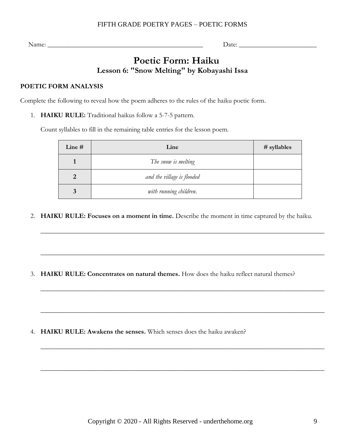Name: \_\_\_\_\_\_\_\_\_\_\_\_\_\_\_\_\_\_\_\_\_\_\_\_\_\_\_\_\_\_\_\_\_\_\_\_\_\_\_\_\_\_\_\_\_\_ Date: \_\_\_\_\_\_\_\_\_\_\_\_\_\_\_\_\_\_\_\_\_\_\_

# **Poetic Form: Haiku Lesson 6: "Snow Melting" by Kobayashi Issa**

### <span id="page-8-0"></span>**POETIC FORM ANALYSIS**

Complete the following to reveal how the poem adheres to the rules of the haiku poetic form.

1. **HAIKU RULE:** Traditional haikus follow a 5-7-5 pattern.

Count syllables to fill in the remaining table entries for the lesson poem.

| Line # | Line                       | # syllables |
|--------|----------------------------|-------------|
|        | The snow is melting        |             |
|        | and the village is flooded |             |
|        | with running children.     |             |

2. **HAIKU RULE: Focuses on a moment in time.** Describe the moment in time captured by the haiku.

\_\_\_\_\_\_\_\_\_\_\_\_\_\_\_\_\_\_\_\_\_\_\_\_\_\_\_\_\_\_\_\_\_\_\_\_\_\_\_\_\_\_\_\_\_\_\_\_\_\_\_\_\_\_\_\_\_\_\_\_\_\_\_\_\_\_\_\_\_\_\_\_\_\_\_\_\_\_\_\_\_\_\_\_

\_\_\_\_\_\_\_\_\_\_\_\_\_\_\_\_\_\_\_\_\_\_\_\_\_\_\_\_\_\_\_\_\_\_\_\_\_\_\_\_\_\_\_\_\_\_\_\_\_\_\_\_\_\_\_\_\_\_\_\_\_\_\_\_\_\_\_\_\_\_\_\_\_\_\_\_\_\_\_\_\_\_\_\_

\_\_\_\_\_\_\_\_\_\_\_\_\_\_\_\_\_\_\_\_\_\_\_\_\_\_\_\_\_\_\_\_\_\_\_\_\_\_\_\_\_\_\_\_\_\_\_\_\_\_\_\_\_\_\_\_\_\_\_\_\_\_\_\_\_\_\_\_\_\_\_\_\_\_\_\_\_\_\_\_\_\_\_\_

\_\_\_\_\_\_\_\_\_\_\_\_\_\_\_\_\_\_\_\_\_\_\_\_\_\_\_\_\_\_\_\_\_\_\_\_\_\_\_\_\_\_\_\_\_\_\_\_\_\_\_\_\_\_\_\_\_\_\_\_\_\_\_\_\_\_\_\_\_\_\_\_\_\_\_\_\_\_\_\_\_\_\_\_

\_\_\_\_\_\_\_\_\_\_\_\_\_\_\_\_\_\_\_\_\_\_\_\_\_\_\_\_\_\_\_\_\_\_\_\_\_\_\_\_\_\_\_\_\_\_\_\_\_\_\_\_\_\_\_\_\_\_\_\_\_\_\_\_\_\_\_\_\_\_\_\_\_\_\_\_\_\_\_\_\_\_\_\_

\_\_\_\_\_\_\_\_\_\_\_\_\_\_\_\_\_\_\_\_\_\_\_\_\_\_\_\_\_\_\_\_\_\_\_\_\_\_\_\_\_\_\_\_\_\_\_\_\_\_\_\_\_\_\_\_\_\_\_\_\_\_\_\_\_\_\_\_\_\_\_\_\_\_\_\_\_\_\_\_\_\_\_\_

3. **HAIKU RULE: Concentrates on natural themes.** How does the haiku reflect natural themes?

4. **HAIKU RULE: Awakens the senses.** Which senses does the haiku awaken?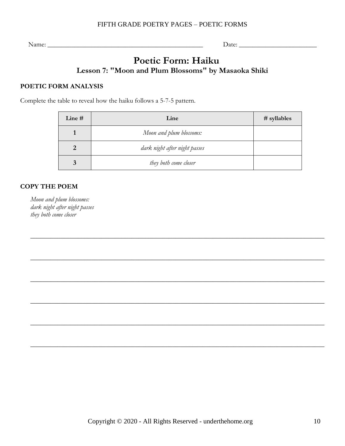Name: \_\_\_\_\_\_\_\_\_\_\_\_\_\_\_\_\_\_\_\_\_\_\_\_\_\_\_\_\_\_\_\_\_\_\_\_\_\_\_\_\_\_\_\_\_\_ Date: \_\_\_\_\_\_\_\_\_\_\_\_\_\_\_\_\_\_\_\_\_\_\_

### **Poetic Form: Haiku Lesson 7: "Moon and Plum Blossoms" by Masaoka Shiki**

### <span id="page-9-0"></span>**POETIC FORM ANALYSIS**

Complete the table to reveal how the haiku follows a 5-7-5 pattern.

| Line # | Line                          | $#$ syllables |
|--------|-------------------------------|---------------|
|        | Moon and plum blossoms:       |               |
|        | dark night after night passes |               |
|        | they both come closer         |               |

 $\_$  , and the set of the set of the set of the set of the set of the set of the set of the set of the set of the set of the set of the set of the set of the set of the set of the set of the set of the set of the set of th

 $\_$  , and the set of the set of the set of the set of the set of the set of the set of the set of the set of the set of the set of the set of the set of the set of the set of the set of the set of the set of the set of th

 $\_$  , and the set of the set of the set of the set of the set of the set of the set of the set of the set of the set of the set of the set of the set of the set of the set of the set of the set of the set of the set of th

 $\_$  , and the set of the set of the set of the set of the set of the set of the set of the set of the set of the set of the set of the set of the set of the set of the set of the set of the set of the set of the set of th

 $\_$  , and the set of the set of the set of the set of the set of the set of the set of the set of the set of the set of the set of the set of the set of the set of the set of the set of the set of the set of the set of th

 $\_$  , and the set of the set of the set of the set of the set of the set of the set of the set of the set of the set of the set of the set of the set of the set of the set of the set of the set of the set of the set of th

### **COPY THE POEM**

*Moon and plum blossoms: dark night after night passes they both come closer*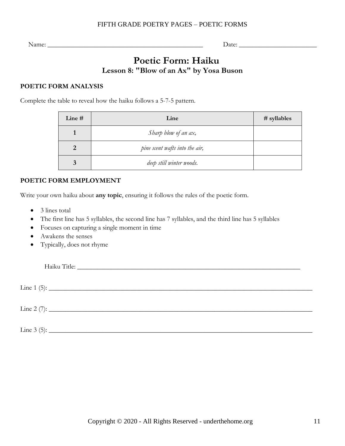Name:  $\Box$ 

# **Poetic Form: Haiku Lesson 8: "Blow of an Ax" by Yosa Buson**

### <span id="page-10-0"></span>**POETIC FORM ANALYSIS**

Complete the table to reveal how the haiku follows a 5-7-5 pattern.

| Line # | Line                           | $#$ syllables |
|--------|--------------------------------|---------------|
|        | Sharp blow of an ax,           |               |
|        | pine scent wafts into the air, |               |
|        | deep still winter woods.       |               |

### **POETIC FORM EMPLOYMENT**

Write your own haiku about **any topic**, ensuring it follows the rules of the poetic form.

- 3 lines total
- The first line has 5 syllables, the second line has 7 syllables, and the third line has 5 syllables
- Focuses on capturing a single moment in time
- Awakens the senses
- Typically, does not rhyme

Haiku Title: \_\_\_\_\_\_\_\_\_\_\_\_\_\_\_\_\_\_\_\_\_\_\_\_\_\_\_\_\_\_\_\_\_\_\_\_\_\_\_\_\_\_\_\_\_\_\_\_\_\_\_\_\_\_\_\_\_\_\_\_\_\_\_\_\_\_

 $\text{Line 1 (5):}$ 

 $\text{Line 2 (7):}$ 

Line 3 (5): \_\_\_\_\_\_\_\_\_\_\_\_\_\_\_\_\_\_\_\_\_\_\_\_\_\_\_\_\_\_\_\_\_\_\_\_\_\_\_\_\_\_\_\_\_\_\_\_\_\_\_\_\_\_\_\_\_\_\_\_\_\_\_\_\_\_\_\_\_\_\_\_\_\_\_\_\_\_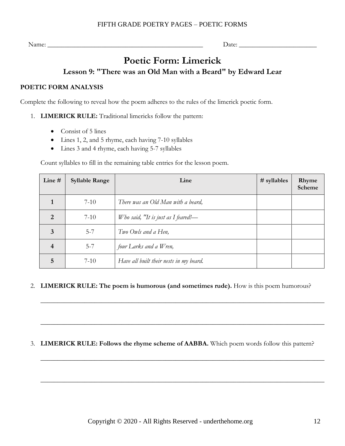<span id="page-11-0"></span>Name:  $\Box$ 

# **Poetic Form: Limerick Lesson 9: "There was an Old Man with a Beard" by Edward Lear**

### <span id="page-11-1"></span>**POETIC FORM ANALYSIS**

Complete the following to reveal how the poem adheres to the rules of the limerick poetic form.

- 1. **LIMERICK RULE:** Traditional limericks follow the pattern:
	- Consist of 5 lines
	- Lines 1, 2, and 5 rhyme, each having 7-10 syllables
	- Lines 3 and 4 rhyme, each having 5-7 syllables

Count syllables to fill in the remaining table entries for the lesson poem.

| Line #         | <b>Syllable Range</b> | Line                                    | $#$ syllables | Rhyme<br>Scheme |
|----------------|-----------------------|-----------------------------------------|---------------|-----------------|
|                | $7 - 10$              | There was an Old Man with a beard,      |               |                 |
| $\mathcal{D}$  | $7-10$                | Who said, "It is just as I feared!—     |               |                 |
| 3              | $5 - 7$               | Two Owls and a Hen,                     |               |                 |
| $\overline{4}$ | $5 - 7$               | four Larks and a Wren,                  |               |                 |
| 5              | $7-10$                | Have all built their nests in my beard. |               |                 |

### 2. **LIMERICK RULE: The poem is humorous (and sometimes rude).** How is this poem humorous?

\_\_\_\_\_\_\_\_\_\_\_\_\_\_\_\_\_\_\_\_\_\_\_\_\_\_\_\_\_\_\_\_\_\_\_\_\_\_\_\_\_\_\_\_\_\_\_\_\_\_\_\_\_\_\_\_\_\_\_\_\_\_\_\_\_\_\_\_\_\_\_\_\_\_\_\_\_\_\_\_\_\_\_\_

\_\_\_\_\_\_\_\_\_\_\_\_\_\_\_\_\_\_\_\_\_\_\_\_\_\_\_\_\_\_\_\_\_\_\_\_\_\_\_\_\_\_\_\_\_\_\_\_\_\_\_\_\_\_\_\_\_\_\_\_\_\_\_\_\_\_\_\_\_\_\_\_\_\_\_\_\_\_\_\_\_\_\_\_

\_\_\_\_\_\_\_\_\_\_\_\_\_\_\_\_\_\_\_\_\_\_\_\_\_\_\_\_\_\_\_\_\_\_\_\_\_\_\_\_\_\_\_\_\_\_\_\_\_\_\_\_\_\_\_\_\_\_\_\_\_\_\_\_\_\_\_\_\_\_\_\_\_\_\_\_\_\_\_\_\_\_\_\_

\_\_\_\_\_\_\_\_\_\_\_\_\_\_\_\_\_\_\_\_\_\_\_\_\_\_\_\_\_\_\_\_\_\_\_\_\_\_\_\_\_\_\_\_\_\_\_\_\_\_\_\_\_\_\_\_\_\_\_\_\_\_\_\_\_\_\_\_\_\_\_\_\_\_\_\_\_\_\_\_\_\_\_\_

### 3. **LIMERICK RULE: Follows the rhyme scheme of AABBA.** Which poem words follow this pattern?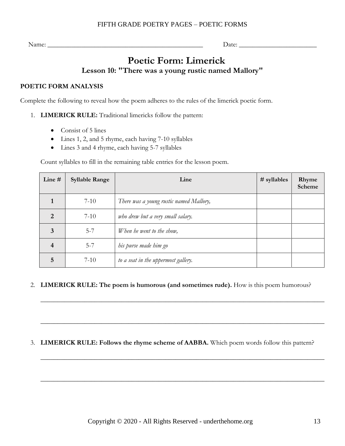# **Poetic Form: Limerick Lesson 10: "There was a young rustic named Mallory"**

### <span id="page-12-0"></span>**POETIC FORM ANALYSIS**

Complete the following to reveal how the poem adheres to the rules of the limerick poetic form.

- 1. **LIMERICK RULE:** Traditional limericks follow the pattern:
	- Consist of 5 lines
	- Lines 1, 2, and 5 rhyme, each having 7-10 syllables
	- Lines 3 and 4 rhyme, each having 5-7 syllables

Count syllables to fill in the remaining table entries for the lesson poem.

| Line #        | <b>Syllable Range</b> | Line                                    | $#$ syllables | Rhyme<br>Scheme |
|---------------|-----------------------|-----------------------------------------|---------------|-----------------|
|               | $7 - 10$              | There was a young rustic named Mallory, |               |                 |
| $\mathcal{D}$ | $7 - 10$              | who drew but a very small salary.       |               |                 |
| 3             | $5 - 7$               | When he went to the show,               |               |                 |
| 4             | $5 - 7$               | his purse made him go                   |               |                 |
| 5             | $7 - 10$              | to a seat in the uppermost gallery.     |               |                 |

### 2. **LIMERICK RULE: The poem is humorous (and sometimes rude).** How is this poem humorous?

\_\_\_\_\_\_\_\_\_\_\_\_\_\_\_\_\_\_\_\_\_\_\_\_\_\_\_\_\_\_\_\_\_\_\_\_\_\_\_\_\_\_\_\_\_\_\_\_\_\_\_\_\_\_\_\_\_\_\_\_\_\_\_\_\_\_\_\_\_\_\_\_\_\_\_\_\_\_\_\_\_\_\_\_

\_\_\_\_\_\_\_\_\_\_\_\_\_\_\_\_\_\_\_\_\_\_\_\_\_\_\_\_\_\_\_\_\_\_\_\_\_\_\_\_\_\_\_\_\_\_\_\_\_\_\_\_\_\_\_\_\_\_\_\_\_\_\_\_\_\_\_\_\_\_\_\_\_\_\_\_\_\_\_\_\_\_\_\_

\_\_\_\_\_\_\_\_\_\_\_\_\_\_\_\_\_\_\_\_\_\_\_\_\_\_\_\_\_\_\_\_\_\_\_\_\_\_\_\_\_\_\_\_\_\_\_\_\_\_\_\_\_\_\_\_\_\_\_\_\_\_\_\_\_\_\_\_\_\_\_\_\_\_\_\_\_\_\_\_\_\_\_\_

\_\_\_\_\_\_\_\_\_\_\_\_\_\_\_\_\_\_\_\_\_\_\_\_\_\_\_\_\_\_\_\_\_\_\_\_\_\_\_\_\_\_\_\_\_\_\_\_\_\_\_\_\_\_\_\_\_\_\_\_\_\_\_\_\_\_\_\_\_\_\_\_\_\_\_\_\_\_\_\_\_\_\_\_

3. **LIMERICK RULE: Follows the rhyme scheme of AABBA.** Which poem words follow this pattern?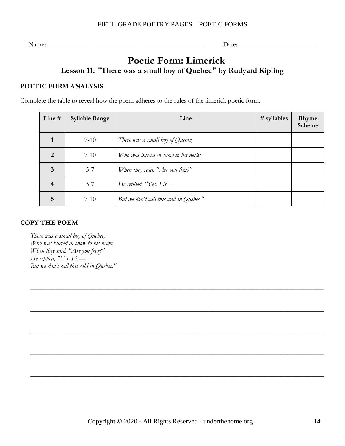# **Poetic Form: Limerick Lesson 11: "There was a small boy of Quebec" by Rudyard Kipling**

### <span id="page-13-0"></span>**POETIC FORM ANALYSIS**

Complete the table to reveal how the poem adheres to the rules of the limerick poetic form.

| Line #                   | <b>Syllable Range</b> | Line                                    | $#$ syllables | Rhyme<br>Scheme |
|--------------------------|-----------------------|-----------------------------------------|---------------|-----------------|
|                          | $7 - 10$              | There was a small boy of Quebec,        |               |                 |
| $\overline{2}$           | $7-10$                | Who was buried in snow to his neck;     |               |                 |
| 3                        | $5 - 7$               | When they said. "Are you friz?"         |               |                 |
| $\overline{\mathcal{A}}$ | $5 - 7$               | He replied, $'Y$ es, I is—              |               |                 |
| 5                        | $7-10$                | But we don't call this cold in Quebec." |               |                 |

 $\_$  , and the set of the set of the set of the set of the set of the set of the set of the set of the set of the set of the set of the set of the set of the set of the set of the set of the set of the set of the set of th

 $\_$  , and the set of the set of the set of the set of the set of the set of the set of the set of the set of the set of the set of the set of the set of the set of the set of the set of the set of the set of the set of th

 $\_$  , and the set of the set of the set of the set of the set of the set of the set of the set of the set of the set of the set of the set of the set of the set of the set of the set of the set of the set of the set of th

 $\_$  , and the set of the set of the set of the set of the set of the set of the set of the set of the set of the set of the set of the set of the set of the set of the set of the set of the set of the set of the set of th

 $\_$  , and the set of the set of the set of the set of the set of the set of the set of the set of the set of the set of the set of the set of the set of the set of the set of the set of the set of the set of the set of th

### **COPY THE POEM**

*There was a small boy of Quebec, Who was buried in snow to his neck; When they said. "Are you friz?" He replied, "Yes, I is— But we don't call this cold in Quebec."*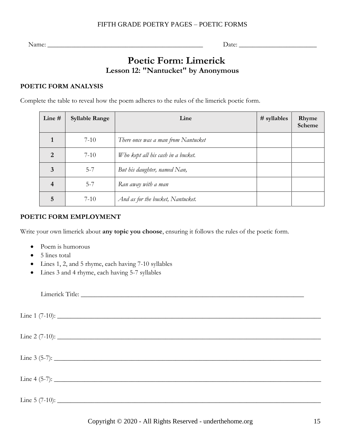Name: \_\_\_\_\_\_\_\_\_\_\_\_\_\_\_\_\_\_\_\_\_\_\_\_\_\_\_\_\_\_\_\_\_\_\_\_\_\_\_\_\_\_\_\_\_\_ Date: \_\_\_\_\_\_\_\_\_\_\_\_\_\_\_\_\_\_\_\_\_\_\_

# **Poetic Form: Limerick Lesson 12: "Nantucket" by Anonymous**

### <span id="page-14-0"></span>**POETIC FORM ANALYSIS**

Complete the table to reveal how the poem adheres to the rules of the limerick poetic form.

| Line #                   | <b>Syllable Range</b> | Line                                | $#$ syllables | Rhyme<br>Scheme |
|--------------------------|-----------------------|-------------------------------------|---------------|-----------------|
|                          | $7-10$                | There once was a man from Nantucket |               |                 |
| $\overline{2}$           | $7 - 10$              | Who kept all his cash in a bucket.  |               |                 |
| 3                        | $5 - 7$               | But his daughter, named Nan,        |               |                 |
| $\overline{\mathcal{A}}$ | $5 - 7$               | Ran away with a man                 |               |                 |
| 5                        | $7 - 10$              | And as for the bucket, Nantucket.   |               |                 |

### **POETIC FORM EMPLOYMENT**

Write your own limerick about **any topic you choose**, ensuring it follows the rules of the poetic form.

- Poem is humorous
- 5 lines total
- Lines 1, 2, and 5 rhyme, each having 7-10 syllables
- Lines 3 and 4 rhyme, each having 5-7 syllables

Limerick Title: Line  $1$  (7-10):  $\text{Line 2 (7-10):}$  $\text{Line } 3 \text{ (5-7):}$  $\text{Line } 4 \text{ (5-7):}$ Line  $5$  (7-10):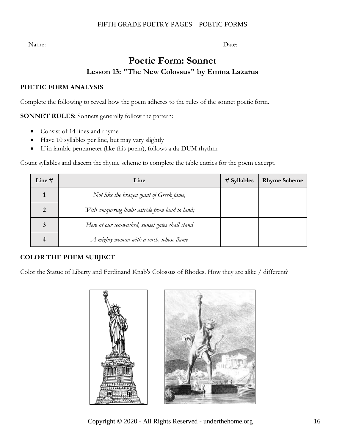<span id="page-15-0"></span>Name: \_\_\_\_\_\_\_\_\_\_\_\_\_\_\_\_\_\_\_\_\_\_\_\_\_\_\_\_\_\_\_\_\_\_\_\_\_\_\_\_\_\_\_\_\_\_ Date: \_\_\_\_\_\_\_\_\_\_\_\_\_\_\_\_\_\_\_\_\_\_\_

# **Poetic Form: Sonnet Lesson 13: "The New Colossus" by Emma Lazarus**

### <span id="page-15-1"></span>**POETIC FORM ANALYSIS**

Complete the following to reveal how the poem adheres to the rules of the sonnet poetic form.

**SONNET RULES:** Sonnets generally follow the pattern:

- Consist of 14 lines and rhyme
- Have 10 syllables per line, but may vary slightly
- If in iambic pentameter (like this poem), follows a da-DUM rhythm

Count syllables and discern the rhyme scheme to complete the table entries for the poem excerpt.

| Line $#$ | Line                                             | $#$ Syllables | <b>Rhyme Scheme</b> |
|----------|--------------------------------------------------|---------------|---------------------|
|          | Not like the brazen giant of Greek fame,         |               |                     |
|          | With conquering limbs astride from land to land; |               |                     |
|          | Here at our sea-washed, sunset gates shall stand |               |                     |
|          | A mighty woman with a torch, whose flame         |               |                     |

### **COLOR THE POEM SUBJECT**

Color the Statue of Liberty and Ferdinand Knab's Colossus of Rhodes. How they are alike / different?



Copyright © 2020 - All Rights Reserved - underthehome.org 16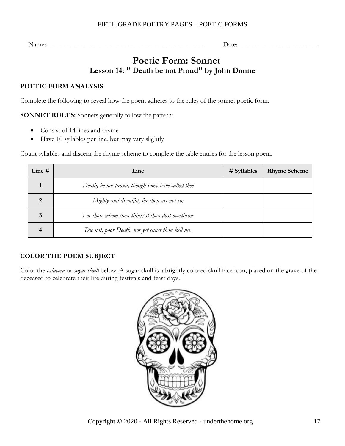Name: \_\_\_\_\_\_\_\_\_\_\_\_\_\_\_\_\_\_\_\_\_\_\_\_\_\_\_\_\_\_\_\_\_\_\_\_\_\_\_\_\_\_\_\_\_\_ Date: \_\_\_\_\_\_\_\_\_\_\_\_\_\_\_\_\_\_\_\_\_\_\_

# **Poetic Form: Sonnet Lesson 14: " Death be not Proud" by John Donne**

### <span id="page-16-0"></span>**POETIC FORM ANALYSIS**

Complete the following to reveal how the poem adheres to the rules of the sonnet poetic form.

**SONNET RULES:** Sonnets generally follow the pattern:

- Consist of 14 lines and rhyme
- Have 10 syllables per line, but may vary slightly

Count syllables and discern the rhyme scheme to complete the table entries for the lesson poem.

| Line $#$ | Line                                              | $#$ Syllables | <b>Rhyme Scheme</b> |
|----------|---------------------------------------------------|---------------|---------------------|
|          | Death, be not proud, though some have called thee |               |                     |
|          | Mighty and dreadful, for thou art not so;         |               |                     |
|          | For those whom thou think'st thou dost overthrow  |               |                     |
|          | Die not, poor Death, nor yet canst thou kill me.  |               |                     |

### **COLOR THE POEM SUBJECT**

Color the *calavera* or *sugar skull* below. A sugar skull is a brightly colored skull face icon, placed on the grave of the deceased to celebrate their life during festivals and feast days.

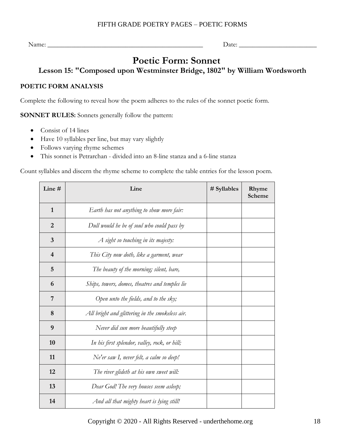Name: \_\_\_\_\_\_\_\_\_\_\_\_\_\_\_\_\_\_\_\_\_\_\_\_\_\_\_\_\_\_\_\_\_\_\_\_\_\_\_\_\_\_\_\_\_\_ Date: \_\_\_\_\_\_\_\_\_\_\_\_\_\_\_\_\_\_\_\_\_\_\_

# **Poetic Form: Sonnet**

### **Lesson 15: "Composed upon Westminster Bridge, 1802" by William Wordsworth**

### <span id="page-17-0"></span>**POETIC FORM ANALYSIS**

Complete the following to reveal how the poem adheres to the rules of the sonnet poetic form.

**SONNET RULES:** Sonnets generally follow the pattern:

- Consist of 14 lines
- Have 10 syllables per line, but may vary slightly
- Follows varying rhyme schemes
- This sonnet is Petrarchan divided into an 8-line stanza and a 6-line stanza

Count syllables and discern the rhyme scheme to complete the table entries for the lesson poem.

| Line $#$                | Line                                            | # Syllables | Rhyme<br>Scheme |
|-------------------------|-------------------------------------------------|-------------|-----------------|
| $\mathbf{1}$            | Earth has not anything to show more fair:       |             |                 |
| $\overline{2}$          | Dull would he be of soul who could pass by      |             |                 |
| $\overline{\mathbf{3}}$ | A sight so touching in its majesty:             |             |                 |
| $\overline{4}$          | This City now doth, like a garment, wear        |             |                 |
| 5                       | The beauty of the morning; silent, bare,        |             |                 |
| 6                       | Ships, towers, domes, theatres and temples lie  |             |                 |
| 7                       | Open unto the fields, and to the sky;           |             |                 |
| 8                       | All bright and glittering in the smokeless air. |             |                 |
| 9                       | Never did sun more beautifully steep            |             |                 |
| 10                      | In his first splendor, valley, rock, or hill;   |             |                 |
| 11                      | Ne'er saw I, never felt, a calm so deep!        |             |                 |
| 12                      | The river glideth at his own sweet will:        |             |                 |
| 13                      | Dear God! The very houses seem asleep;          |             |                 |
| 14                      | And all that mighty heart is lying still!       |             |                 |

Copyright © 2020 - All Rights Reserved - underthehome.org 18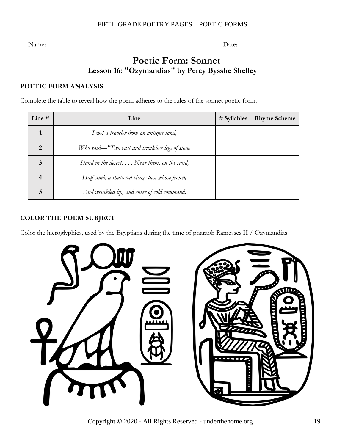# **Poetic Form: Sonnet Lesson 16: "Ozymandias" by Percy Bysshe Shelley**

### <span id="page-18-0"></span>**POETIC FORM ANALYSIS**

Complete the table to reveal how the poem adheres to the rules of the sonnet poetic form.

| Line $#$ | Line                                                  | $#$ Syllables | <b>Rhyme Scheme</b> |
|----------|-------------------------------------------------------|---------------|---------------------|
|          | I met a traveler from an antique land,                |               |                     |
| Ω        | Who said—"Two vast and trunkless legs of stone        |               |                     |
| 3        | Stand in the desert. $\ldots$ Near them, on the sand, |               |                     |
|          | Half sunk a shattered visage lies, whose frown,       |               |                     |
| 5        | And wrinkled lip, and sneer of cold command,          |               |                     |

### **COLOR THE POEM SUBJECT**

Color the hieroglyphics, used by the Egyptians during the time of pharaoh Ramesses II / Ozymandias.



Copyright © 2020 - All Rights Reserved - underthehome.org 19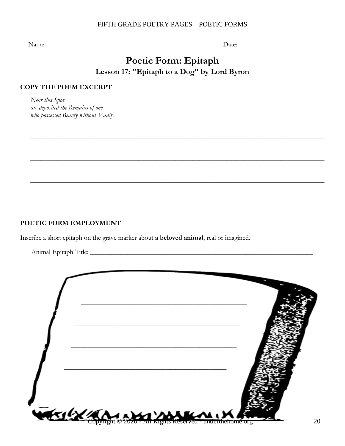<span id="page-19-0"></span>Name: \_\_\_\_\_\_\_\_\_\_\_\_\_\_\_\_\_\_\_\_\_\_\_\_\_\_\_\_\_\_\_\_\_\_\_\_\_\_\_\_\_\_\_\_\_\_ Date: \_\_\_\_\_\_\_\_\_\_\_\_\_\_\_\_\_\_\_\_\_\_\_

# **Poetic Form: Epitaph Lesson 17: "Epitaph to a Dog" by Lord Byron**

 $\_$  , and the set of the set of the set of the set of the set of the set of the set of the set of the set of the set of the set of the set of the set of the set of the set of the set of the set of the set of the set of th

 $\_$  , and the set of the set of the set of the set of the set of the set of the set of the set of the set of the set of the set of the set of the set of the set of the set of the set of the set of the set of the set of th

 $\_$  , and the set of the set of the set of the set of the set of the set of the set of the set of the set of the set of the set of the set of the set of the set of the set of the set of the set of the set of the set of th

 $\_$  , and the set of the set of the set of the set of the set of the set of the set of the set of the set of the set of the set of the set of the set of the set of the set of the set of the set of the set of the set of th

### <span id="page-19-1"></span>**COPY THE POEM EXCERPT**

*Near this Spot are deposited the Remains of one who possessed Beauty without Vanity*

### **POETIC FORM EMPLOYMENT**

Inscribe a short epitaph on the grave marker about **a beloved animal**, real or imagined.

Animal Epitaph Title: \_\_\_\_\_\_\_\_\_\_\_\_\_\_\_\_\_\_\_\_\_\_\_\_\_\_\_\_\_\_\_\_\_\_\_\_\_\_\_\_\_\_\_\_\_\_\_\_\_\_\_\_\_\_\_\_\_\_\_\_\_\_\_\_\_\_

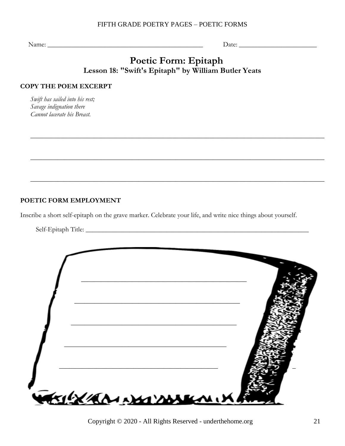Name: \_\_\_\_\_\_\_\_\_\_\_\_\_\_\_\_\_\_\_\_\_\_\_\_\_\_\_\_\_\_\_\_\_\_\_\_\_\_\_\_\_\_\_\_\_\_ Date: \_\_\_\_\_\_\_\_\_\_\_\_\_\_\_\_\_\_\_\_\_\_\_

### **Poetic Form: Epitaph Lesson 18: "Swift's Epitaph" by William Butler Yeats**

 $\_$  , and the set of the set of the set of the set of the set of the set of the set of the set of the set of the set of the set of the set of the set of the set of the set of the set of the set of the set of the set of th

 $\_$  , and the set of the set of the set of the set of the set of the set of the set of the set of the set of the set of the set of the set of the set of the set of the set of the set of the set of the set of the set of th

 $\_$  , and the set of the set of the set of the set of the set of the set of the set of the set of the set of the set of the set of the set of the set of the set of the set of the set of the set of the set of the set of th

#### <span id="page-20-0"></span>**COPY THE POEM EXCERPT**

*Swift has sailed into his rest; Savage indignation there Cannot lacerate his Breast.*

### **POETIC FORM EMPLOYMENT**

Inscribe a short self-epitaph on the grave marker. Celebrate your life, and write nice things about yourself.

Self-Epitaph Title: \_\_\_\_\_\_\_\_\_\_\_\_\_\_\_\_\_\_\_\_\_\_\_\_\_\_\_\_\_\_\_\_\_\_\_\_\_\_\_\_\_\_\_\_\_\_\_\_\_\_\_\_\_\_\_\_\_\_\_\_\_\_\_\_\_\_



Copyright © 2020 - All Rights Reserved - underthehome.org 21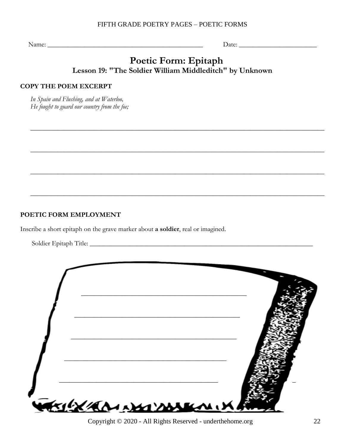Name: \_\_\_\_\_\_\_\_\_\_\_\_\_\_\_\_\_\_\_\_\_\_\_\_\_\_\_\_\_\_\_\_\_\_\_\_\_\_\_\_\_\_\_\_\_\_ Date: \_\_\_\_\_\_\_\_\_\_\_\_\_\_\_\_\_\_\_\_\_\_\_

### **Poetic Form: Epitaph Lesson 19: "The Soldier William Middleditch" by Unknown**

 $\_$  , and the set of the set of the set of the set of the set of the set of the set of the set of the set of the set of the set of the set of the set of the set of the set of the set of the set of the set of the set of th

 $\_$  , and the set of the set of the set of the set of the set of the set of the set of the set of the set of the set of the set of the set of the set of the set of the set of the set of the set of the set of the set of th

 $\_$  , and the set of the set of the set of the set of the set of the set of the set of the set of the set of the set of the set of the set of the set of the set of the set of the set of the set of the set of the set of th

 $\_$  , and the set of the set of the set of the set of the set of the set of the set of the set of the set of the set of the set of the set of the set of the set of the set of the set of the set of the set of the set of th

#### <span id="page-21-0"></span>**COPY THE POEM EXCERPT**

*In Spain and Flushing, and at Waterloo, He fought to guard our country from the foe;*

### **POETIC FORM EMPLOYMENT**

Inscribe a short epitaph on the grave marker about **a soldier**, real or imagined.

Soldier Epitaph Title: \_\_\_\_\_\_\_\_\_\_\_\_\_\_\_\_\_\_\_\_\_\_\_\_\_\_\_\_\_\_\_\_\_\_\_\_\_\_\_\_\_\_\_\_\_\_\_\_\_\_\_\_\_\_\_\_\_\_\_\_\_\_\_\_\_\_



Copyright © 2020 - All Rights Reserved - underthehome.org 22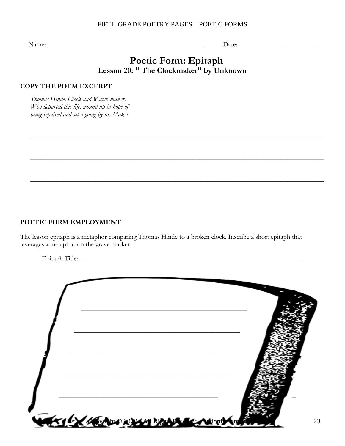Name: \_\_\_\_\_\_\_\_\_\_\_\_\_\_\_\_\_\_\_\_\_\_\_\_\_\_\_\_\_\_\_\_\_\_\_\_\_\_\_\_\_\_\_\_\_\_ Date: \_\_\_\_\_\_\_\_\_\_\_\_\_\_\_\_\_\_\_\_\_\_\_

### **Poetic Form: Epitaph Lesson 20: " The Clockmaker" by Unknown**

 $\_$  , and the set of the set of the set of the set of the set of the set of the set of the set of the set of the set of the set of the set of the set of the set of the set of the set of the set of the set of the set of th

 $\_$  , and the set of the set of the set of the set of the set of the set of the set of the set of the set of the set of the set of the set of the set of the set of the set of the set of the set of the set of the set of th

 $\_$  , and the set of the set of the set of the set of the set of the set of the set of the set of the set of the set of the set of the set of the set of the set of the set of the set of the set of the set of the set of th

 $\_$  , and the set of the set of the set of the set of the set of the set of the set of the set of the set of the set of the set of the set of the set of the set of the set of the set of the set of the set of the set of th

#### <span id="page-22-0"></span>**COPY THE POEM EXCERPT**

*Thomas Hinde, Clock and Watch-maker, Who departed this life, wound up in hope of being repaired and set a-going by his Maker*

#### **POETIC FORM EMPLOYMENT**

The lesson epitaph is a metaphor comparing Thomas Hinde to a broken clock. Inscribe a short epitaph that leverages a metaphor on the grave marker.

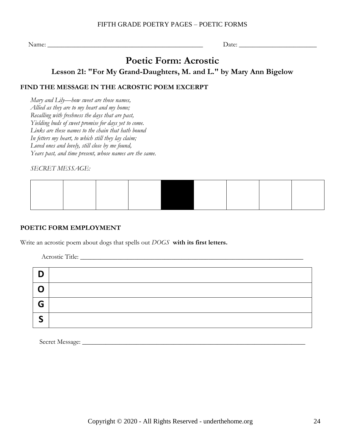# **Poetic Form: Acrostic**

**Lesson 21: "For My Grand-Daughters, M. and L." by Mary Ann Bigelow**

### <span id="page-23-1"></span><span id="page-23-0"></span>**FIND THE MESSAGE IN THE ACROSTIC POEM EXCERPT**

*Mary and Lily—how sweet are those names, Allied as they are to my heart and my home; Recalling with freshness the days that are past, Yielding buds of sweet promise for days yet to come. Links are these names to the chain that hath bound In fetters my heart, to which still they lay claim; Loved ones and lovely, still close by me found, Years past, and time present, whose names are the same.*

*SECRET MESSAGE:*

### **POETIC FORM EMPLOYMENT**

Write an acrostic poem about dogs that spells out *DOGS* **with its first letters.**

Acrostic Title: \_\_\_\_\_\_\_\_\_\_\_\_\_\_\_\_\_\_\_\_\_\_\_\_\_\_\_\_\_\_\_\_\_\_\_\_\_\_\_\_\_\_\_\_\_\_\_\_\_\_\_\_\_\_\_\_\_\_\_\_\_\_\_\_\_\_

| D           |  |
|-------------|--|
| $\mathbf C$ |  |
| G           |  |
| -           |  |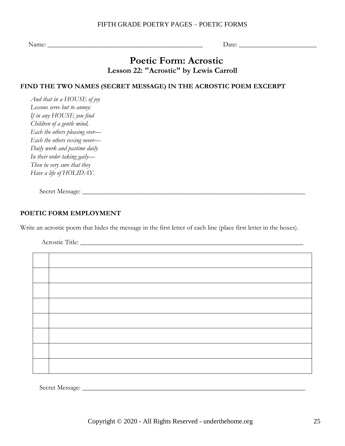Name: \_\_\_\_\_\_\_\_\_\_\_\_\_\_\_\_\_\_\_\_\_\_\_\_\_\_\_\_\_\_\_\_\_\_\_\_\_\_\_\_\_\_\_\_\_\_ Date: \_\_\_\_\_\_\_\_\_\_\_\_\_\_\_\_\_\_\_\_\_\_\_

### **Poetic Form: Acrostic Lesson 22: "Acrostic" by Lewis Carroll**

### <span id="page-24-0"></span>**FIND THE TWO NAMES (SECRET MESSAGE) IN THE ACROSTIC POEM EXCERPT**

*And that in a HOUSE of joy Lessons serve but to annoy: If in any HOUSE you find Children of a gentle mind, Each the others pleasing ever— Each the others vexing never— Daily work and pastime daily In their order taking gaily— Then be very sure that they Have a life of HOLIDAY.*

Secret Message: \_\_\_\_\_\_\_\_\_\_\_\_\_\_\_\_\_\_\_\_\_\_\_\_\_\_\_\_\_\_\_\_\_\_\_\_\_\_\_\_\_\_\_\_\_\_\_\_\_\_\_\_\_\_\_\_\_\_\_\_\_\_\_\_\_\_

### **POETIC FORM EMPLOYMENT**

Write an acrostic poem that hides the message in the first letter of each line (place first letter in the boxes).

Acrostic Title: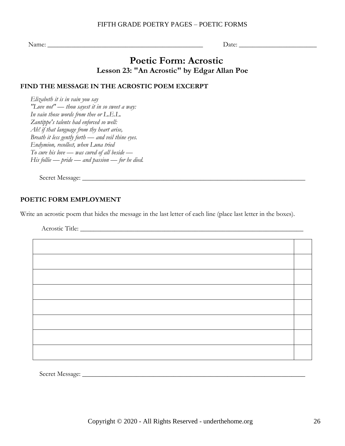# **Poetic Form: Acrostic Lesson 23: "An Acrostic" by Edgar Allan Poe**

### <span id="page-25-0"></span>**FIND THE MESSAGE IN THE ACROSTIC POEM EXCERPT**

*Elizabeth it is in vain you say "Love not" — thou sayest it in so sweet a way: In vain those words from thee or L.E.L. Zantippe's talents had enforced so well: Ah! if that language from thy heart arise, Breath it less gently forth — and veil thine eyes. Endymion, recollect, when Luna tried To cure his love — was cured of all beside — His follie — pride — and passion — for he died.*

Secret Message: \_\_\_\_\_\_\_\_\_\_\_\_\_\_\_\_\_\_\_\_\_\_\_\_\_\_\_\_\_\_\_\_\_\_\_\_\_\_\_\_\_\_\_\_\_\_\_\_\_\_\_\_\_\_\_\_\_\_\_\_\_\_\_\_\_\_

### **POETIC FORM EMPLOYMENT**

Write an acrostic poem that hides the message in the last letter of each line (place last letter in the boxes).

Acrostic Title: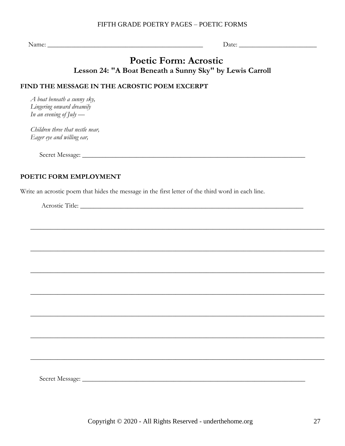Name:  $\Box$ 

### **Poetic Form: Acrostic Lesson 24: "A Boat Beneath a Sunny Sky" by Lewis Carroll**

 $\_$  , and the set of the set of the set of the set of the set of the set of the set of the set of the set of the set of the set of the set of the set of the set of the set of the set of the set of the set of the set of th

 $\_$  , and the set of the set of the set of the set of the set of the set of the set of the set of the set of the set of the set of the set of the set of the set of the set of the set of the set of the set of the set of th

 $\_$  , and the set of the set of the set of the set of the set of the set of the set of the set of the set of the set of the set of the set of the set of the set of the set of the set of the set of the set of the set of th

 $\_$  , and the set of the set of the set of the set of the set of the set of the set of the set of the set of the set of the set of the set of the set of the set of the set of the set of the set of the set of the set of th

 $\_$  , and the set of the set of the set of the set of the set of the set of the set of the set of the set of the set of the set of the set of the set of the set of the set of the set of the set of the set of the set of th

 $\_$  , and the set of the set of the set of the set of the set of the set of the set of the set of the set of the set of the set of the set of the set of the set of the set of the set of the set of the set of the set of th

<span id="page-26-1"></span> $\_$  , and the set of the set of the set of the set of the set of the set of the set of the set of the set of the set of the set of the set of the set of the set of the set of the set of the set of the set of the set of th

### <span id="page-26-0"></span>**FIND THE MESSAGE IN THE ACROSTIC POEM EXCERPT**

*A boat beneath a sunny sky, Lingering onward dreamily In an evening of July —*

*Children three that nestle near, Eager eye and willing ear,*

Secret Message: \_\_\_\_\_\_\_\_\_\_\_\_\_\_\_\_\_\_\_\_\_\_\_\_\_\_\_\_\_\_\_\_\_\_\_\_\_\_\_\_\_\_\_\_\_\_\_\_\_\_\_\_\_\_\_\_\_\_\_\_\_\_\_\_\_\_

### **POETIC FORM EMPLOYMENT**

Write an acrostic poem that hides the message in the first letter of the third word in each line.

Acrostic Title: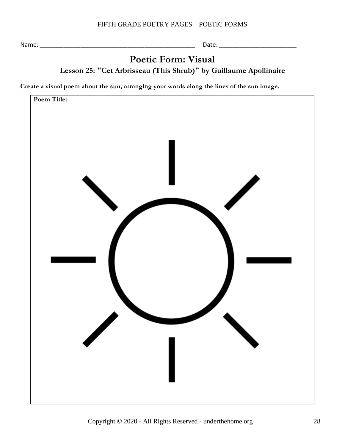# **Poetic Form: Visual Lesson 25: "Cet Arbrisseau (This Shrub)" by Guillaume Apollinaire**

<span id="page-27-0"></span>**Create a visual poem about the sun, arranging your words along the lines of the sun image.**

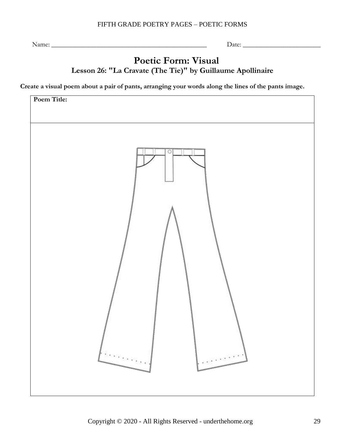# **Poetic Form: Visual Lesson 26: "La Cravate (The Tie)" by Guillaume Apollinaire**

<span id="page-28-0"></span>**Create a visual poem about a pair of pants, arranging your words along the lines of the pants image.**

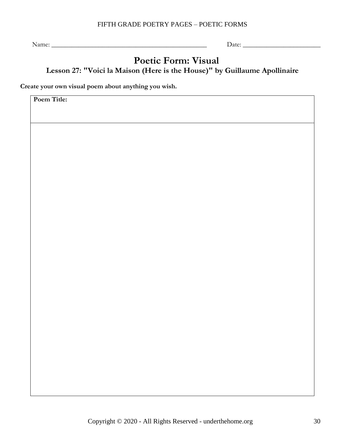Name: \_\_\_\_\_\_\_\_\_\_\_\_\_\_\_\_\_\_\_\_\_\_\_\_\_\_\_\_\_\_\_\_\_\_\_\_\_\_\_\_\_\_\_\_\_\_ Date: \_\_\_\_\_\_\_\_\_\_\_\_\_\_\_\_\_\_\_\_\_\_\_

# **Poetic Form: Visual Lesson 27: "Voici la Maison (Here is the House)" by Guillaume Apollinaire**

<span id="page-29-0"></span>**Create your own visual poem about anything you wish.**

**Poem Title:**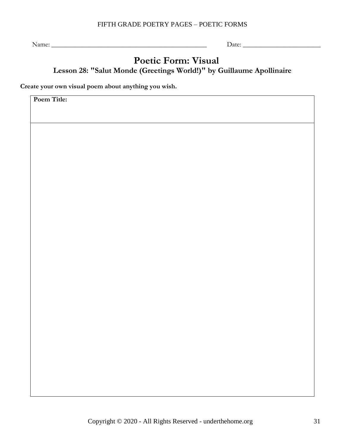Name: \_\_\_\_\_\_\_\_\_\_\_\_\_\_\_\_\_\_\_\_\_\_\_\_\_\_\_\_\_\_\_\_\_\_\_\_\_\_\_\_\_\_\_\_\_\_ Date: \_\_\_\_\_\_\_\_\_\_\_\_\_\_\_\_\_\_\_\_\_\_\_

### **Poetic Form: Visual Lesson 28: "Salut Monde (Greetings World!)" by Guillaume Apollinaire**

<span id="page-30-0"></span>**Create your own visual poem about anything you wish.**

<span id="page-30-1"></span>**Poem Title:**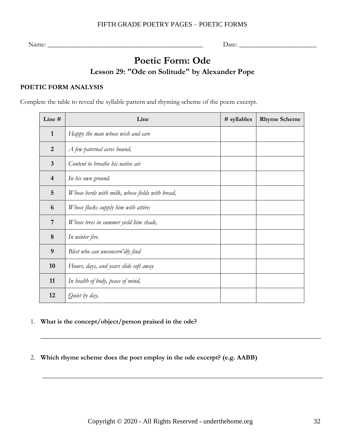# **Poetic Form: Ode Lesson 29: "Ode on Solitude" by Alexander Pope**

### <span id="page-31-0"></span>**POETIC FORM ANALYSIS**

Complete the table to reveal the syllable pattern and rhyming scheme of the poem excerpt.

| Line #                   | Line                                            | # syllables | <b>Rhyme Scheme</b> |
|--------------------------|-------------------------------------------------|-------------|---------------------|
| $\mathbf{1}$             | Happy the man whose wish and care               |             |                     |
| $\overline{2}$           | A few paternal acres bound,                     |             |                     |
| 3                        | Content to breathe his native air               |             |                     |
| $\overline{\mathcal{A}}$ | In his own ground.                              |             |                     |
| 5                        | Whose herds with milk, whose fields with bread, |             |                     |
| 6                        | Whose flocks supply him with attire;            |             |                     |
| 7                        | Whose trees in summer yield him shade,          |             |                     |
| 8                        | In winter fire.                                 |             |                     |
| 9                        | Blest who can unconcern'dly find                |             |                     |
| 10                       | Hours, days, and years slide soft away          |             |                     |
| 11                       | In health of body, peace of mind,               |             |                     |
| 12                       | Quiet by day,                                   |             |                     |

### 1. **What is the concept/object/person praised in the ode?**

2. **Which rhyme scheme does the poet employ in the ode excerpt? (e.g. AABB)**

\_\_\_\_\_\_\_\_\_\_\_\_\_\_\_\_\_\_\_\_\_\_\_\_\_\_\_\_\_\_\_\_\_\_\_\_\_\_\_\_\_\_\_\_\_\_\_\_\_\_\_\_\_\_\_\_\_\_\_\_\_\_\_\_\_\_\_\_\_\_\_\_\_\_\_\_\_\_\_\_\_\_\_

\_\_\_\_\_\_\_\_\_\_\_\_\_\_\_\_\_\_\_\_\_\_\_\_\_\_\_\_\_\_\_\_\_\_\_\_\_\_\_\_\_\_\_\_\_\_\_\_\_\_\_\_\_\_\_\_\_\_\_\_\_\_\_\_\_\_\_\_\_\_\_\_\_\_\_\_\_\_\_\_\_\_\_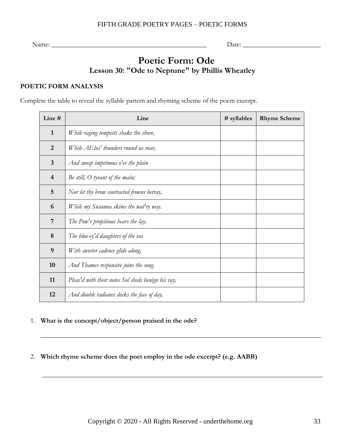Name: \_\_\_\_\_\_\_\_\_\_\_\_\_\_\_\_\_\_\_\_\_\_\_\_\_\_\_\_\_\_\_\_\_\_\_\_\_\_\_\_\_\_\_\_\_\_ Date: \_\_\_\_\_\_\_\_\_\_\_\_\_\_\_\_\_\_\_\_\_\_\_

# **Poetic Form: Ode Lesson 30: "Ode to Neptune" by Phillis Wheatley**

### <span id="page-32-0"></span>**POETIC FORM ANALYSIS**

Complete the table to reveal the syllable pattern and rhyming scheme of the poem excerpt.

| Line #                  | Line                                               | # syllables | <b>Rhyme Scheme</b> |
|-------------------------|----------------------------------------------------|-------------|---------------------|
| $\mathbf{1}$            | While raging tempests shake the shore,             |             |                     |
| $\overline{2}$          | While AElus' thunders round us roar,               |             |                     |
| $\mathbf{3}$            | And sweep impetuous o'er the plain                 |             |                     |
| $\overline{\mathbf{4}}$ | Be still, $O$ tyrant of the main;                  |             |                     |
| 5                       | Nor let thy brow contracted frowns betray,         |             |                     |
| 6                       | While my Susanna skims the wat'ry way.             |             |                     |
| 7                       | The Pow'r propitious hears the lay,                |             |                     |
| 8                       | The blue-ey'd daughters of the sea                 |             |                     |
| 9                       | With sweeter cadence glide along,                  |             |                     |
| 10                      | And Thames responsive joins the song.              |             |                     |
| 11                      | Pleas'd with their notes Sol sheds benign his ray, |             |                     |
| 12                      | And double radiance decks the face of day.         |             |                     |

### 1. **What is the concept/object/person praised in the ode?**

2. **Which rhyme scheme does the poet employ in the ode excerpt? (e.g. AABB)**

\_\_\_\_\_\_\_\_\_\_\_\_\_\_\_\_\_\_\_\_\_\_\_\_\_\_\_\_\_\_\_\_\_\_\_\_\_\_\_\_\_\_\_\_\_\_\_\_\_\_\_\_\_\_\_\_\_\_\_\_\_\_\_\_\_\_\_\_\_\_\_\_\_\_\_\_\_\_\_\_\_\_\_

\_\_\_\_\_\_\_\_\_\_\_\_\_\_\_\_\_\_\_\_\_\_\_\_\_\_\_\_\_\_\_\_\_\_\_\_\_\_\_\_\_\_\_\_\_\_\_\_\_\_\_\_\_\_\_\_\_\_\_\_\_\_\_\_\_\_\_\_\_\_\_\_\_\_\_\_\_\_\_\_\_\_\_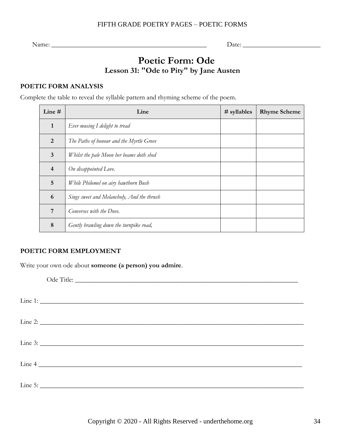Name: \_\_\_\_\_\_\_\_\_\_\_\_\_\_\_\_\_\_\_\_\_\_\_\_\_\_\_\_\_\_\_\_\_\_\_\_\_\_\_\_\_\_\_\_\_\_ Date: \_\_\_\_\_\_\_\_\_\_\_\_\_\_\_\_\_\_\_\_\_\_\_

# **Poetic Form: Ode Lesson 31: "Ode to Pity" by Jane Austen**

### <span id="page-33-0"></span>**POETIC FORM ANALYSIS**

Complete the table to reveal the syllable pattern and rhyming scheme of the poem.

| Line $#$       | Line                                       | $#$ syllables | <b>Rhyme Scheme</b> |
|----------------|--------------------------------------------|---------------|---------------------|
| 1              | Ever musing I delight to tread             |               |                     |
| 2              | The Paths of honour and the Myrtle Grove   |               |                     |
| $\mathbf{3}$   | Whilst the pale Moon her beams doth shed   |               |                     |
| $\overline{4}$ | On disappointed Love.                      |               |                     |
| 5              | While Philomel on airy hawthorn Bush       |               |                     |
| 6              | Sings sweet and Melancholy, And the thrush |               |                     |
| 7              | Converses with the Dove.                   |               |                     |
| 8              | Gently brawling down the turnpike road,    |               |                     |

### **POETIC FORM EMPLOYMENT**

Write your own ode about **someone (a person) you admire**.

| Ode Title: |
|------------|
|            |
| Line 2:    |
|            |
| Line 4     |
|            |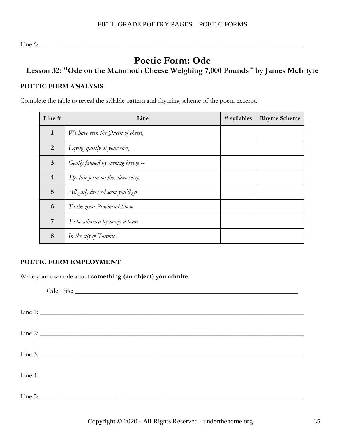Line 6: \_\_\_\_\_\_\_\_\_\_\_\_\_\_\_\_\_\_\_\_\_\_\_\_\_\_\_\_\_\_\_\_\_\_\_\_\_\_\_\_\_\_\_\_\_\_\_\_\_\_\_\_\_\_\_\_\_\_\_\_\_\_\_\_\_\_\_\_\_\_\_\_\_\_\_\_\_\_

# **Poetic Form: Ode**

### <span id="page-34-0"></span>**Lesson 32: "Ode on the Mammoth Cheese Weighing 7,000 Pounds" by James McIntyre**

### **POETIC FORM ANALYSIS**

Complete the table to reveal the syllable pattern and rhyming scheme of the poem excerpt.

| Line $#$                | Line                               | $#$ syllables | <b>Rhyme Scheme</b> |
|-------------------------|------------------------------------|---------------|---------------------|
| $\mathbf{1}$            | We have seen the Queen of cheese,  |               |                     |
| $\overline{2}$          | Laying quietly at your ease,       |               |                     |
| 3                       | Gently fanned by evening breeze -- |               |                     |
| $\overline{\mathbf{4}}$ | Thy fair form no flies dare seize. |               |                     |
| 5                       | All gaily dressed soon you'll go   |               |                     |
| 6                       | To the great Provincial Show,      |               |                     |
| 7                       | To be admired by many a beau       |               |                     |
| 8                       | In the city of Toronto.            |               |                     |

### **POETIC FORM EMPLOYMENT**

Write your own ode about **something (an object) you admire**.

| Line 4  |
|---------|
| Line 5: |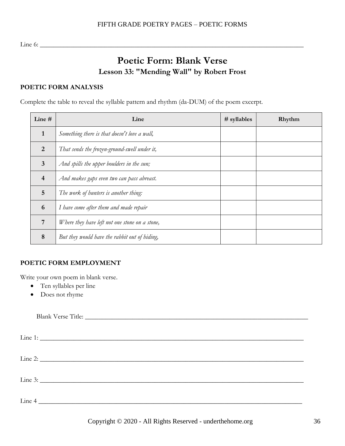<span id="page-35-0"></span>Line 6: \_\_\_\_\_\_\_\_\_\_\_\_\_\_\_\_\_\_\_\_\_\_\_\_\_\_\_\_\_\_\_\_\_\_\_\_\_\_\_\_\_\_\_\_\_\_\_\_\_\_\_\_\_\_\_\_\_\_\_\_\_\_\_\_\_\_\_\_\_\_\_\_\_\_\_\_\_\_

# **Poetic Form: Blank Verse Lesson 33: "Mending Wall" by Robert Frost**

### <span id="page-35-1"></span>**POETIC FORM ANALYSIS**

Complete the table to reveal the syllable pattern and rhythm (da-DUM) of the poem excerpt.

| Line $#$                | Line                                           | # syllables | Rhythm |
|-------------------------|------------------------------------------------|-------------|--------|
| 1                       | Something there is that doesn't love a wall,   |             |        |
| $\overline{2}$          | That sends the frozen-ground-swell under it,   |             |        |
| $\overline{\mathbf{3}}$ | And spills the upper boulders in the sun;      |             |        |
| $\overline{4}$          | And makes gaps even two can pass abreast.      |             |        |
| $\overline{5}$          | The work of hunters is another thing:          |             |        |
| 6                       | I have come after them and made repair         |             |        |
| 7                       | Where they have left not one stone on a stone, |             |        |
| 8                       | But they would have the rabbit out of hiding,  |             |        |

### **POETIC FORM EMPLOYMENT**

Write your own poem in blank verse.

- Ten syllables per line
- Does not rhyme

| $\text{Line } 4 \text{ _______}$ |  |  |
|----------------------------------|--|--|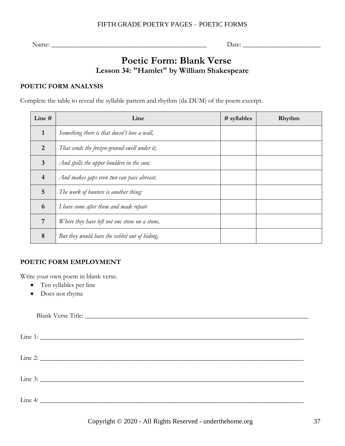Name: \_\_\_\_\_\_\_\_\_\_\_\_\_\_\_\_\_\_\_\_\_\_\_\_\_\_\_\_\_\_\_\_\_\_\_\_\_\_\_\_\_\_\_\_\_\_ Date: \_\_\_\_\_\_\_\_\_\_\_\_\_\_\_\_\_\_\_\_\_\_\_

# **Poetic Form: Blank Verse Lesson 34: "Hamlet" by William Shakespeare**

### <span id="page-36-0"></span>**POETIC FORM ANALYSIS**

Complete the table to reveal the syllable pattern and rhythm (da-DUM) of the poem excerpt.

| Line $#$       | Line                                           | # syllables | Rhythm |
|----------------|------------------------------------------------|-------------|--------|
| $\mathbf{1}$   | Something there is that doesn't love a wall,   |             |        |
| $\overline{2}$ | That sends the frozen-ground-swell under it,   |             |        |
| $\overline{3}$ | And spills the upper boulders in the sun;      |             |        |
| $\overline{4}$ | And makes gaps even two can pass abreast.      |             |        |
| $\overline{5}$ | The work of hunters is another thing:          |             |        |
| 6              | I have come after them and made repair         |             |        |
| 7              | Where they have left not one stone on a stone, |             |        |
| 8              | But they would have the rabbit out of hiding,  |             |        |

### **POETIC FORM EMPLOYMENT**

Write your own poem in blank verse.

- Ten syllables per line
- Does not rhyme

| Line 4: $\Box$ |  |  |
|----------------|--|--|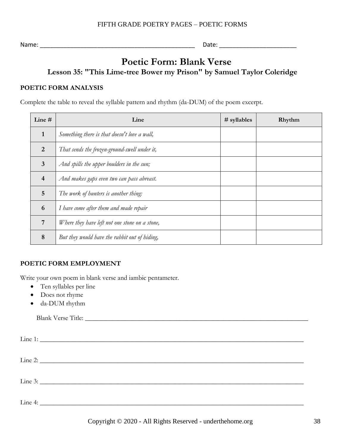Name: \_\_\_\_\_\_\_\_\_\_\_\_\_\_\_\_\_\_\_\_\_\_\_\_\_\_\_\_\_\_\_\_\_\_\_\_\_\_\_\_\_\_\_\_\_\_ Date: \_\_\_\_\_\_\_\_\_\_\_\_\_\_\_\_\_\_\_\_\_\_\_

# **Poetic Form: Blank Verse**

**Lesson 35: "This Lime-tree Bower my Prison" by Samuel Taylor Coleridge**

### <span id="page-37-0"></span>**POETIC FORM ANALYSIS**

Complete the table to reveal the syllable pattern and rhythm (da-DUM) of the poem excerpt.

| Line $#$                | Line                                           | $#$ syllables | Rhythm |
|-------------------------|------------------------------------------------|---------------|--------|
| $\mathbf{1}$            | Something there is that doesn't love a wall,   |               |        |
| $\overline{2}$          | That sends the frozen-ground-swell under it,   |               |        |
| $\overline{\mathbf{3}}$ | And spills the upper boulders in the sun;      |               |        |
| $\overline{4}$          | And makes gaps even two can pass abreast.      |               |        |
| 5                       | The work of hunters is another thing:          |               |        |
| 6                       | I have come after them and made repair         |               |        |
| 7                       | Where they have left not one stone on a stone, |               |        |
| 8                       | But they would have the rabbit out of hiding,  |               |        |

### **POETIC FORM EMPLOYMENT**

Write your own poem in blank verse and iambic pentameter.

- Ten syllables per line
- Does not rhyme
- da-DUM rhythm

| Line 3: |  |  |
|---------|--|--|
| Line 4: |  |  |